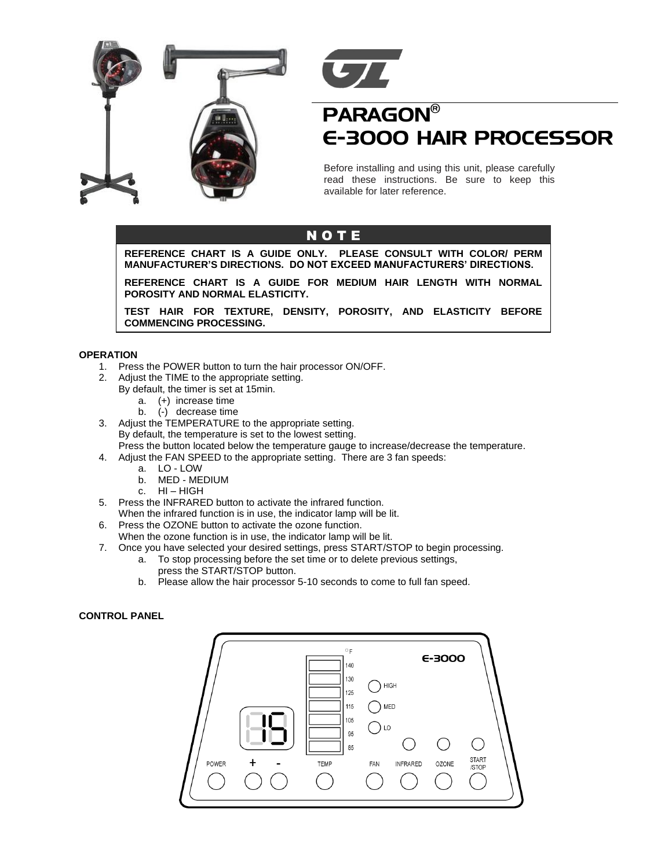



# PARAGON® E-3000 HAIR PROCESSOR

Before installing and using this unit, please carefully read these instructions. Be sure to keep this available for later reference.

### N O T E

**REFERENCE CHART IS A GUIDE ONLY. PLEASE CONSULT WITH COLOR/ PERM MANUFACTURER'S DIRECTIONS. DO NOT EXCEED MANUFACTURERS' DIRECTIONS.**

**REFERENCE CHART IS A GUIDE FOR MEDIUM HAIR LENGTH WITH NORMAL POROSITY AND NORMAL ELASTICITY.**

**TEST HAIR FOR TEXTURE, DENSITY, POROSITY, AND ELASTICITY BEFORE COMMENCING PROCESSING.**

### **OPERATION**

- 1. Press the POWER button to turn the hair processor ON/OFF.
- 2. Adjust the TIME to the appropriate setting.
	- By default, the timer is set at 15min.
		- a. (+) increase time
		- b. (-) decrease time
- 3. Adjust the TEMPERATURE to the appropriate setting. By default, the temperature is set to the lowest setting. Press the button located below the temperature gauge to increase/decrease the temperature.
- 4. Adjust the FAN SPEED to the appropriate setting. There are 3 fan speeds:
	- a. LO LOW
	- b. MED MEDIUM
	- c. HI HIGH
- 5. Press the INFRARED button to activate the infrared function.
- When the infrared function is in use, the indicator lamp will be lit.
- 6. Press the OZONE button to activate the ozone function.
- When the ozone function is in use, the indicator lamp will be lit.
- 7. Once you have selected your desired settings, press START/STOP to begin processing.
	- a. To stop processing before the set time or to delete previous settings, press the START/STOP button.
	- b. Please allow the hair processor 5-10 seconds to come to full fan speed.

#### **CONTROL PANEL**

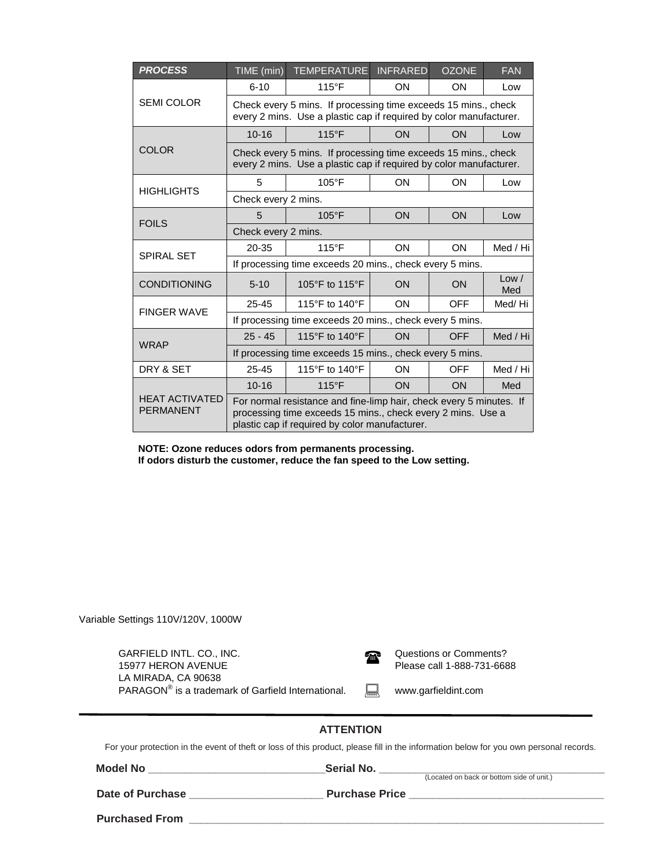| <b>PROCESS</b>                            | TIME (min)                                                                                                                                                                           | <b>TEMPERATURE</b> | <b>INFRARED</b> | <b>OZONE</b> | <b>FAN</b>   |  |  |
|-------------------------------------------|--------------------------------------------------------------------------------------------------------------------------------------------------------------------------------------|--------------------|-----------------|--------------|--------------|--|--|
| <b>SEMI COLOR</b>                         | $6 - 10$                                                                                                                                                                             | $115^{\circ}F$     | ON              | <b>ON</b>    | Low          |  |  |
|                                           | Check every 5 mins. If processing time exceeds 15 mins., check<br>every 2 mins. Use a plastic cap if required by color manufacturer.                                                 |                    |                 |              |              |  |  |
| <b>COLOR</b>                              | $10 - 16$                                                                                                                                                                            | $115^{\circ}F$     | ON              | ON           | Low          |  |  |
|                                           | Check every 5 mins. If processing time exceeds 15 mins., check<br>every 2 mins. Use a plastic cap if required by color manufacturer.                                                 |                    |                 |              |              |  |  |
| <b>HIGHLIGHTS</b>                         | 5                                                                                                                                                                                    | $105^{\circ}$ F    | ON              | ON           | Low          |  |  |
|                                           | Check every 2 mins.                                                                                                                                                                  |                    |                 |              |              |  |  |
| <b>FOILS</b>                              | 5                                                                                                                                                                                    | $105^{\circ}$ F    | ON              | ON           | Low          |  |  |
|                                           | Check every 2 mins.                                                                                                                                                                  |                    |                 |              |              |  |  |
| <b>SPIRAL SET</b>                         | $20 - 35$                                                                                                                                                                            | $115^{\circ}F$     | <b>ON</b>       | <b>ON</b>    | Med / Hi     |  |  |
|                                           | If processing time exceeds 20 mins., check every 5 mins.                                                                                                                             |                    |                 |              |              |  |  |
| <b>CONDITIONING</b>                       | $5 - 10$                                                                                                                                                                             | 105°F to 115°F     | ON              | <b>ON</b>    | Low /<br>Med |  |  |
| <b>FINGER WAVE</b>                        | 25-45                                                                                                                                                                                | 115°F to 140°F     | ON              | <b>OFF</b>   | Med/Hi       |  |  |
|                                           | If processing time exceeds 20 mins., check every 5 mins.                                                                                                                             |                    |                 |              |              |  |  |
| <b>WRAP</b>                               | $25 - 45$                                                                                                                                                                            | 115°F to 140°F     | ON              | <b>OFF</b>   | Med / Hi     |  |  |
|                                           | If processing time exceeds 15 mins., check every 5 mins.                                                                                                                             |                    |                 |              |              |  |  |
| DRY & SET                                 | $25 - 45$                                                                                                                                                                            | 115°F to 140°F     | ON              | <b>OFF</b>   | Med / Hi     |  |  |
| <b>HEAT ACTIVATED</b><br><b>PERMANENT</b> | $10 - 16$                                                                                                                                                                            | $115^{\circ}$ F    | ON              | <b>ON</b>    | Med          |  |  |
|                                           | For normal resistance and fine-limp hair, check every 5 minutes. If<br>processing time exceeds 15 mins., check every 2 mins. Use a<br>plastic cap if required by color manufacturer. |                    |                 |              |              |  |  |

**NOTE: Ozone reduces odors from permanents processing. If odors disturb the customer, reduce the fan speed to the Low setting.**

Variable Settings 110V/120V, 1000W

| GARFIELD INTL. CO., INC.<br>15977 HERON AVENUE<br>LA MIRADA, CA 90638<br>PARAGON <sup>®</sup> is a trademark of Garfield International.                   | t |  | Questions or Comments?<br>Please call 1-888-731-6688<br>www.garfieldint.com |  |  |  |  |  |
|-----------------------------------------------------------------------------------------------------------------------------------------------------------|---|--|-----------------------------------------------------------------------------|--|--|--|--|--|
| <b>ATTENTION</b><br>For your protection in the event of theft or loss of this product, please fill in the information below for you own personal records. |   |  |                                                                             |  |  |  |  |  |
| Model No <u>_______________________</u>                                                                                                                   |   |  | <b>Serial No.</b> (Located on back or bottom side of unit.)                 |  |  |  |  |  |
|                                                                                                                                                           |   |  |                                                                             |  |  |  |  |  |
| <b>Purchased From</b>                                                                                                                                     |   |  |                                                                             |  |  |  |  |  |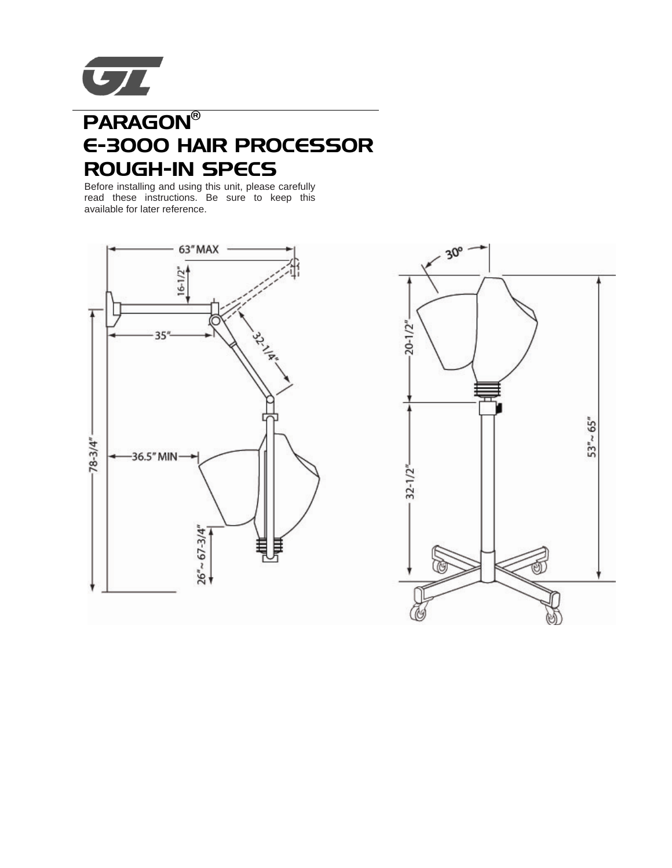

# PARAGON® E-3000 HAIR PROCESSOR ROUGH-IN SPECS

Before installing and using this unit, please carefully read these instructions. Be sure to keep this available for later reference.